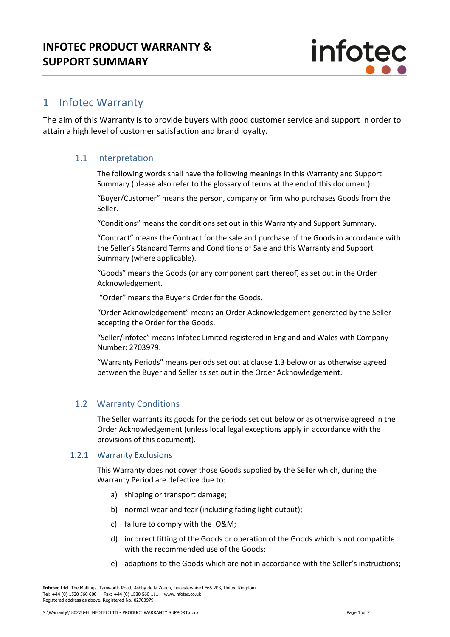

## 1 Infotec Warranty

The aim of this Warranty is to provide buyers with good customer service and support in order to attain a high level of customer satisfaction and brand loyalty.

## 1.1 Interpretation

The following words shall have the following meanings in this Warranty and Support Summary (please also refer to the glossary of terms at the end of this document):

"Buyer/Customer" means the person, company or firm who purchases Goods from the Seller.

"Conditions" means the conditions set out in this Warranty and Support Summary.

"Contract" means the Contract for the sale and purchase of the Goods in accordance with the Seller's Standard Terms and Conditions of Sale and this Warranty and Support Summary (where applicable).

"Goods" means the Goods (or any component part thereof) as set out in the Order Acknowledgement.

"Order" means the Buyer's Order for the Goods.

"Order Acknowledgement" means an Order Acknowledgement generated by the Seller accepting the Order for the Goods.

"Seller/Infotec" means Infotec Limited registered in England and Wales with Company Number: 2703979.

"Warranty Periods" means periods set out at clause 1.3 below or as otherwise agreed between the Buyer and Seller as set out in the Order Acknowledgement.

## 1.2 Warranty Conditions

The Seller warrants its goods for the periods set out below or as otherwise agreed in the Order Acknowledgement (unless local legal exceptions apply in accordance with the provisions of this document).

#### 1.2.1 Warranty Exclusions

This Warranty does not cover those Goods supplied by the Seller which, during the Warranty Period are defective due to:

- a) shipping or transport damage;
- b) normal wear and tear (including fading light output);
- c) failure to comply with the O&M;
- d) incorrect fitting of the Goods or operation of the Goods which is not compatible with the recommended use of the Goods;
- e) adaptions to the Goods which are not in accordance with the Seller's instructions;

**Infotec Ltd** The Maltings, Tamworth Road, Ashby de la Zouch, Leicestershire LE65 2PS, United Kingdom Tel: +44 (0) 1530 560 600 Fax: +44 (0) 1530 560 111 www.infotec.co.uk Registered address as above. Registered No. 02703979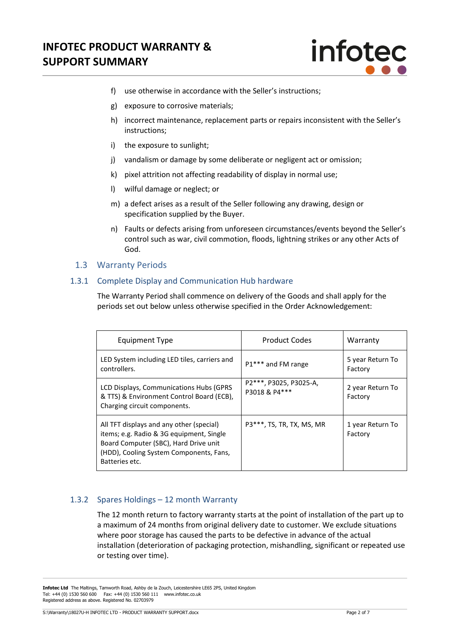

- f) use otherwise in accordance with the Seller's instructions;
- g) exposure to corrosive materials;
- h) incorrect maintenance, replacement parts or repairs inconsistent with the Seller's instructions;
- i) the exposure to sunlight;
- j) vandalism or damage by some deliberate or negligent act or omission;
- k) pixel attrition not affecting readability of display in normal use;
- l) wilful damage or neglect; or
- m) a defect arises as a result of the Seller following any drawing, design or specification supplied by the Buyer.
- n) Faults or defects arising from unforeseen circumstances/events beyond the Seller's control such as war, civil commotion, floods, lightning strikes or any other Acts of God.

## 1.3 Warranty Periods

## 1.3.1 Complete Display and Communication Hub hardware

The Warranty Period shall commence on delivery of the Goods and shall apply for the periods set out below unless otherwise specified in the Order Acknowledgement:

| Equipment Type                                                                                                                                                                             | <b>Product Codes</b>                    | Warranty                    |
|--------------------------------------------------------------------------------------------------------------------------------------------------------------------------------------------|-----------------------------------------|-----------------------------|
| LED System including LED tiles, carriers and<br>controllers.                                                                                                                               | P1*** and FM range                      | 5 year Return To<br>Factory |
| LCD Displays, Communications Hubs (GPRS)<br>& TTS) & Environment Control Board (ECB),<br>Charging circuit components.                                                                      | P2***, P3025, P3025-A,<br>P3018 & P4*** | 2 year Return To<br>Factory |
| All TFT displays and any other (special)<br>items; e.g. Radio & 3G equipment, Single<br>Board Computer (SBC), Hard Drive unit<br>(HDD), Cooling System Components, Fans,<br>Batteries etc. | P3***, TS, TR, TX, MS, MR               | 1 year Return To<br>Factory |

## 1.3.2 Spares Holdings – 12 month Warranty

The 12 month return to factory warranty starts at the point of installation of the part up to a maximum of 24 months from original delivery date to customer. We exclude situations where poor storage has caused the parts to be defective in advance of the actual installation (deterioration of packaging protection, mishandling, significant or repeated use or testing over time).

**Infotec Ltd** The Maltings, Tamworth Road, Ashby de la Zouch, Leicestershire LE65 2PS, United Kingdom Tel: +44 (0) 1530 560 600 Fax: +44 (0) 1530 560 111 www.infotec.co.uk Registered address as above. Registered No. 02703979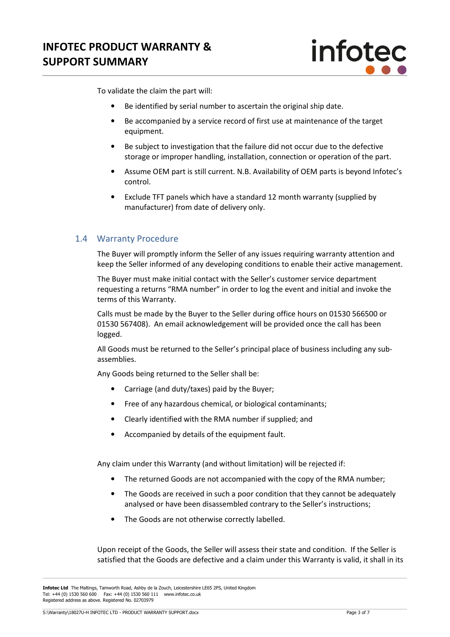

To validate the claim the part will:

- Be identified by serial number to ascertain the original ship date.
- Be accompanied by a service record of first use at maintenance of the target equipment.
- Be subject to investigation that the failure did not occur due to the defective storage or improper handling, installation, connection or operation of the part.
- Assume OEM part is still current. N.B. Availability of OEM parts is beyond Infotec's control.
- Exclude TFT panels which have a standard 12 month warranty (supplied by manufacturer) from date of delivery only.

## 1.4 Warranty Procedure

The Buyer will promptly inform the Seller of any issues requiring warranty attention and keep the Seller informed of any developing conditions to enable their active management.

The Buyer must make initial contact with the Seller's customer service department requesting a returns "RMA number" in order to log the event and initial and invoke the terms of this Warranty.

Calls must be made by the Buyer to the Seller during office hours on 01530 566500 or 01530 567408). An email acknowledgement will be provided once the call has been logged.

All Goods must be returned to the Seller's principal place of business including any subassemblies.

Any Goods being returned to the Seller shall be:

- Carriage (and duty/taxes) paid by the Buyer;
- Free of any hazardous chemical, or biological contaminants;
- Clearly identified with the RMA number if supplied; and
- Accompanied by details of the equipment fault.

Any claim under this Warranty (and without limitation) will be rejected if:

- The returned Goods are not accompanied with the copy of the RMA number;
- The Goods are received in such a poor condition that they cannot be adequately analysed or have been disassembled contrary to the Seller's instructions;
- The Goods are not otherwise correctly labelled.

Upon receipt of the Goods, the Seller will assess their state and condition. If the Seller is satisfied that the Goods are defective and a claim under this Warranty is valid, it shall in its

**Infotec Ltd** The Maltings, Tamworth Road, Ashby de la Zouch, Leicestershire LE65 2PS, United Kingdom Tel: +44 (0) 1530 560 600 Fax: +44 (0) 1530 560 111 www.infotec.co.uk Registered address as above. Registered No. 02703979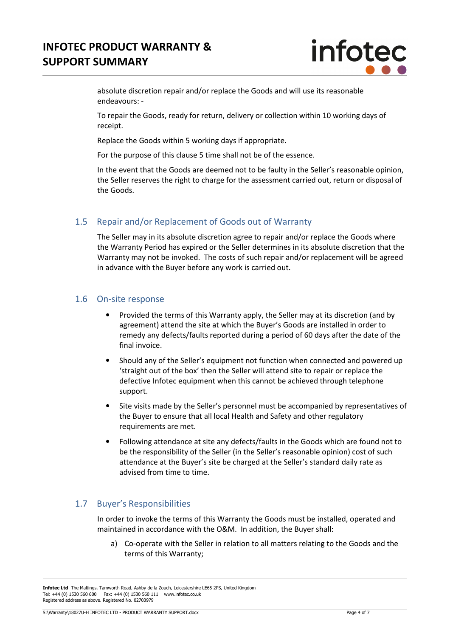# **INFOTEC PRODUCT WARRANTY & SUPPORT SUMMARY**



absolute discretion repair and/or replace the Goods and will use its reasonable endeavours: -

To repair the Goods, ready for return, delivery or collection within 10 working days of receipt.

Replace the Goods within 5 working days if appropriate.

For the purpose of this clause 5 time shall not be of the essence.

In the event that the Goods are deemed not to be faulty in the Seller's reasonable opinion, the Seller reserves the right to charge for the assessment carried out, return or disposal of the Goods.

## 1.5 Repair and/or Replacement of Goods out of Warranty

The Seller may in its absolute discretion agree to repair and/or replace the Goods where the Warranty Period has expired or the Seller determines in its absolute discretion that the Warranty may not be invoked. The costs of such repair and/or replacement will be agreed in advance with the Buyer before any work is carried out.

## 1.6 On-site response

- Provided the terms of this Warranty apply, the Seller may at its discretion (and by agreement) attend the site at which the Buyer's Goods are installed in order to remedy any defects/faults reported during a period of 60 days after the date of the final invoice.
- Should any of the Seller's equipment not function when connected and powered up 'straight out of the box' then the Seller will attend site to repair or replace the defective Infotec equipment when this cannot be achieved through telephone support.
- Site visits made by the Seller's personnel must be accompanied by representatives of the Buyer to ensure that all local Health and Safety and other regulatory requirements are met.
- Following attendance at site any defects/faults in the Goods which are found not to be the responsibility of the Seller (in the Seller's reasonable opinion) cost of such attendance at the Buyer's site be charged at the Seller's standard daily rate as advised from time to time.

## 1.7 Buyer's Responsibilities

In order to invoke the terms of this Warranty the Goods must be installed, operated and maintained in accordance with the O&M. In addition, the Buyer shall:

a) Co-operate with the Seller in relation to all matters relating to the Goods and the terms of this Warranty;

**Infotec Ltd** The Maltings, Tamworth Road, Ashby de la Zouch, Leicestershire LE65 2PS, United Kingdom Tel: +44 (0) 1530 560 600 Fax: +44 (0) 1530 560 111 www.infotec.co.uk Registered address as above. Registered No. 02703979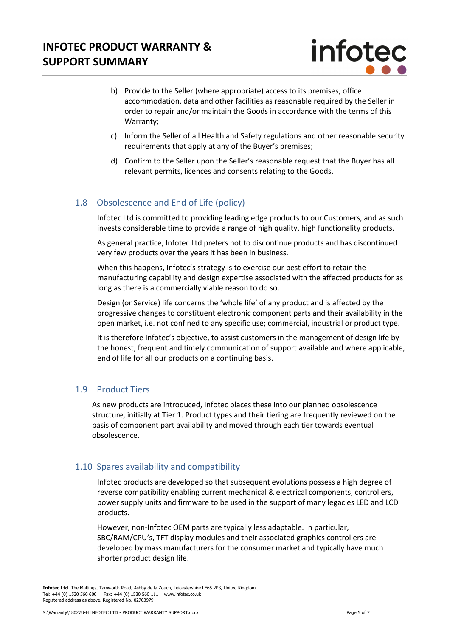

- b) Provide to the Seller (where appropriate) access to its premises, office accommodation, data and other facilities as reasonable required by the Seller in order to repair and/or maintain the Goods in accordance with the terms of this Warranty;
- c) Inform the Seller of all Health and Safety regulations and other reasonable security requirements that apply at any of the Buyer's premises;
- d) Confirm to the Seller upon the Seller's reasonable request that the Buyer has all relevant permits, licences and consents relating to the Goods.

## 1.8 Obsolescence and End of Life (policy)

Infotec Ltd is committed to providing leading edge products to our Customers, and as such invests considerable time to provide a range of high quality, high functionality products.

As general practice, Infotec Ltd prefers not to discontinue products and has discontinued very few products over the years it has been in business.

When this happens, Infotec's strategy is to exercise our best effort to retain the manufacturing capability and design expertise associated with the affected products for as long as there is a commercially viable reason to do so.

Design (or Service) life concerns the 'whole life' of any product and is affected by the progressive changes to constituent electronic component parts and their availability in the open market, i.e. not confined to any specific use; commercial, industrial or product type.

It is therefore Infotec's objective, to assist customers in the management of design life by the honest, frequent and timely communication of support available and where applicable, end of life for all our products on a continuing basis.

## 1.9 Product Tiers

As new products are introduced, Infotec places these into our planned obsolescence structure, initially at Tier 1. Product types and their tiering are frequently reviewed on the basis of component part availability and moved through each tier towards eventual obsolescence.

## 1.10 Spares availability and compatibility

Infotec products are developed so that subsequent evolutions possess a high degree of reverse compatibility enabling current mechanical & electrical components, controllers, power supply units and firmware to be used in the support of many legacies LED and LCD products.

However, non-Infotec OEM parts are typically less adaptable. In particular, SBC/RAM/CPU's, TFT display modules and their associated graphics controllers are developed by mass manufacturers for the consumer market and typically have much shorter product design life.

**Infotec Ltd** The Maltings, Tamworth Road, Ashby de la Zouch, Leicestershire LE65 2PS, United Kingdom Tel: +44 (0) 1530 560 600 Fax: +44 (0) 1530 560 111 www.infotec.co.uk Registered address as above. Registered No. 02703979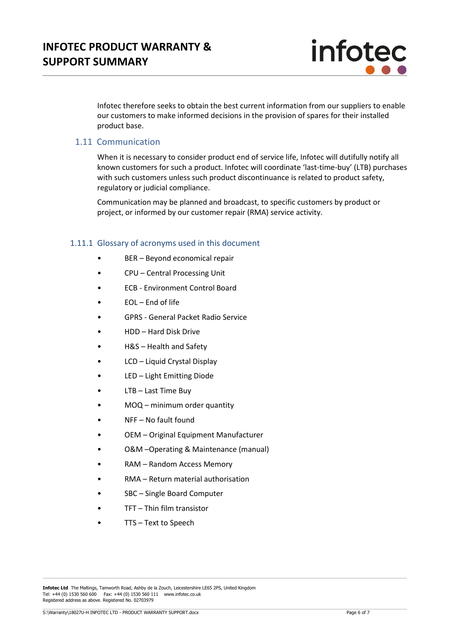

Infotec therefore seeks to obtain the best current information from our suppliers to enable our customers to make informed decisions in the provision of spares for their installed product base.

## 1.11 Communication

When it is necessary to consider product end of service life, Infotec will dutifully notify all known customers for such a product. Infotec will coordinate 'last-time-buy' (LTB) purchases with such customers unless such product discontinuance is related to product safety, regulatory or judicial compliance.

Communication may be planned and broadcast, to specific customers by product or project, or informed by our customer repair (RMA) service activity.

#### 1.11.1 Glossary of acronyms used in this document

- BER Beyond economical repair
- CPU Central Processing Unit
- ECB Environment Control Board
- EOL End of life
- GPRS General Packet Radio Service
- HDD Hard Disk Drive
- H&S Health and Safety
- LCD Liquid Crystal Display
- LED Light Emitting Diode
- LTB Last Time Buy
- MOQ minimum order quantity
- NFF No fault found
- OEM Original Equipment Manufacturer
- O&M –Operating & Maintenance (manual)
- RAM Random Access Memory
- RMA Return material authorisation
- SBC Single Board Computer
- TFT Thin film transistor
- TTS Text to Speech